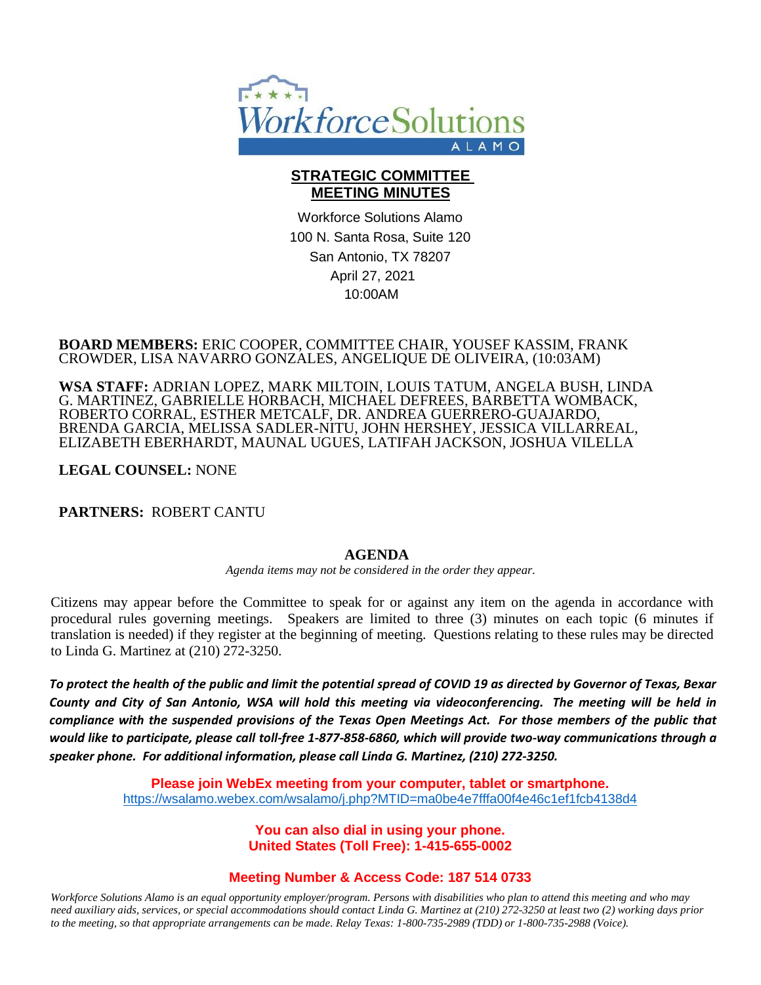

## **STRATEGIC COMMITTEE MEETING MINUTES**

Workforce Solutions Alamo 100 N. Santa Rosa, Suite 120 San Antonio, TX 78207 April 27, 2021 10:00AM

#### **BOARD MEMBERS:** ERIC COOPER, COMMITTEE CHAIR, YOUSEF KASSIM, FRANK CROWDER, LISA NAVARRO GONZALES, ANGELIQUE DE OLIVEIRA, (10:03AM)

**WSA STAFF:** ADRIAN LOPEZ, MARK MILTOIN, LOUIS TATUM, ANGELA BUSH, LINDA G. MARTINEZ, GABRIELLE HORBACH, MICHAEL DEFREES, BARBETTA WOMBACK, ROBERTO CORRAL, ESTHER METCALF, DR. ANDREA GUERRERO-GUAJARDO, BRENDA GARCIA, MELISSA SADLER-NITU, JOHN HERSHEY, JESSICA VILLARREAL, ELIZABETH EBERHARDT, MAUNAL UGUES, LATIFAH JACKSON, JOSHUA VILELLA

### **LEGAL COUNSEL:** NONE

**PARTNERS:** ROBERT CANTU

### **AGENDA**

*Agenda items may not be considered in the order they appear.*

Citizens may appear before the Committee to speak for or against any item on the agenda in accordance with procedural rules governing meetings. Speakers are limited to three (3) minutes on each topic (6 minutes if translation is needed) if they register at the beginning of meeting. Questions relating to these rules may be directed to Linda G. Martinez at (210) 272-3250.

*To protect the health of the public and limit the potential spread of COVID 19 as directed by Governor of Texas, Bexar County and City of San Antonio, WSA will hold this meeting via videoconferencing. The meeting will be held in compliance with the suspended provisions of the Texas Open Meetings Act. For those members of the public that would like to participate, please call toll-free 1-877-858-6860, which will provide two-way communications through a speaker phone. For additional information, please call Linda G. Martinez, (210) 272-3250.*

> **Please join WebEx meeting from your computer, tablet or smartphone.**  <https://wsalamo.webex.com/wsalamo/j.php?MTID=ma0be4e7fffa00f4e46c1ef1fcb4138d4>

> > **You can also dial in using your phone. United States (Toll Free): 1-415-655-0002**

### **Meeting Number & Access Code: 187 514 0733**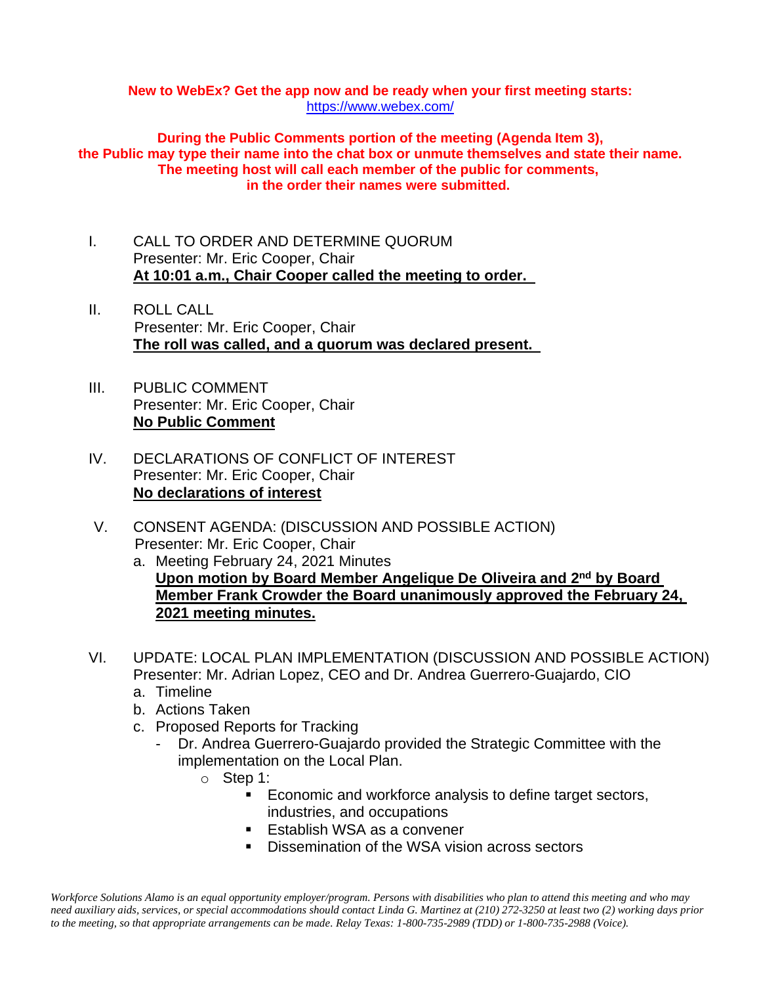#### **New to WebEx? Get the app now and be ready when your first meeting starts:**  <https://www.webex.com/>

**During the Public Comments portion of the meeting (Agenda Item 3), the Public may type their name into the chat box or unmute themselves and state their name. The meeting host will call each member of the public for comments, in the order their names were submitted.**

- I. CALL TO ORDER AND DETERMINE QUORUM Presenter: Mr. Eric Cooper, Chair **At 10:01 a.m., Chair Cooper called the meeting to order.**
- II. ROLL CALL Presenter: Mr. Eric Cooper, Chair **The roll was called, and a quorum was declared present.**
- III. PUBLIC COMMENT Presenter: Mr. Eric Cooper, Chair **No Public Comment**
- IV. DECLARATIONS OF CONFLICT OF INTEREST Presenter: Mr. Eric Cooper, Chair **No declarations of interest**
- V. CONSENT AGENDA: (DISCUSSION AND POSSIBLE ACTION) Presenter: Mr. Eric Cooper, Chair
	- a. Meeting February 24, 2021 Minutes **Upon motion by Board Member Angelique De Oliveira and 2nd by Board Member Frank Crowder the Board unanimously approved the February 24, 2021 meeting minutes.**
- VI. UPDATE: LOCAL PLAN IMPLEMENTATION (DISCUSSION AND POSSIBLE ACTION) Presenter: Mr. Adrian Lopez, CEO and Dr. Andrea Guerrero-Guajardo, CIO
	- a. Timeline
	- b. Actions Taken
	- c. Proposed Reports for Tracking
		- Dr. Andrea Guerrero-Guajardo provided the Strategic Committee with the implementation on the Local Plan.
			- o Step 1:
				- Economic and workforce analysis to define target sectors, industries, and occupations
				- Establish WSA as a convener
				- Dissemination of the WSA vision across sectors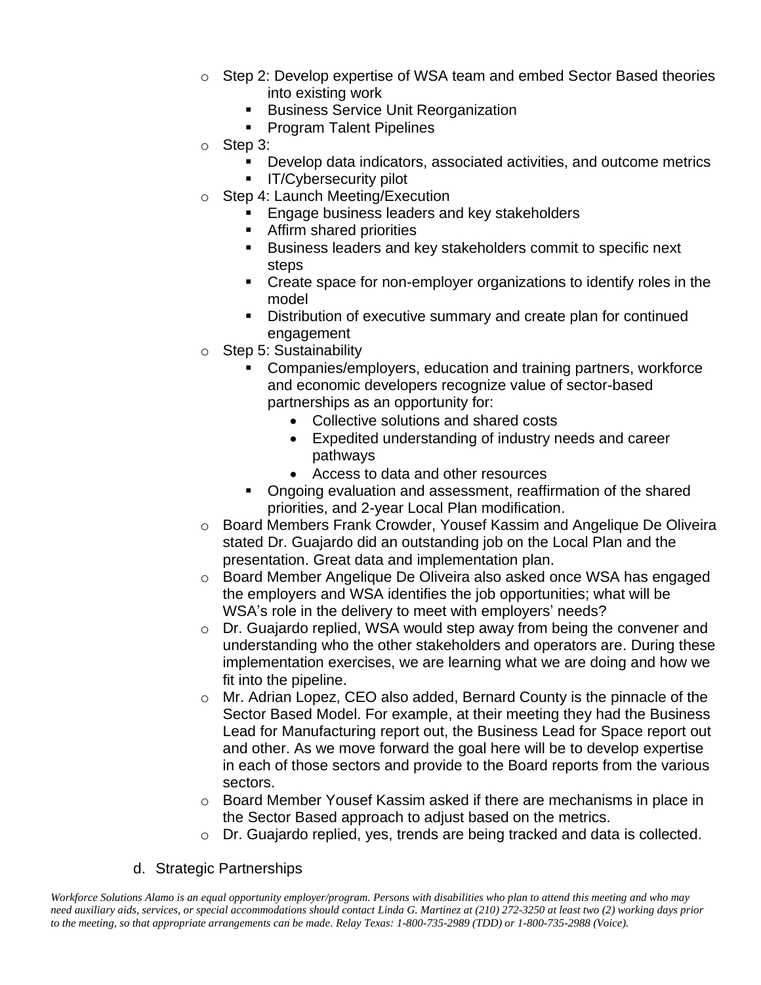- $\circ$  Step 2: Develop expertise of WSA team and embed Sector Based theories into existing work
	- **E** Business Service Unit Reorganization
	- Program Talent Pipelines
- o Step 3:
	- Develop data indicators, associated activities, and outcome metrics
	- **■** IT/Cybersecurity pilot
- o Step 4: Launch Meeting/Execution
	- Engage business leaders and key stakeholders
	- **EXECUTE:** Affirm shared priorities
	- Business leaders and key stakeholders commit to specific next steps
	- Create space for non-employer organizations to identify roles in the model
	- Distribution of executive summary and create plan for continued engagement
- o Step 5: Sustainability
	- Companies/employers, education and training partners, workforce and economic developers recognize value of sector-based partnerships as an opportunity for:
		- Collective solutions and shared costs
		- Expedited understanding of industry needs and career pathways
		- Access to data and other resources
	- Ongoing evaluation and assessment, reaffirmation of the shared priorities, and 2-year Local Plan modification.
- o Board Members Frank Crowder, Yousef Kassim and Angelique De Oliveira stated Dr. Guajardo did an outstanding job on the Local Plan and the presentation. Great data and implementation plan.
- o Board Member Angelique De Oliveira also asked once WSA has engaged the employers and WSA identifies the job opportunities; what will be WSA's role in the delivery to meet with employers' needs?
- o Dr. Guajardo replied, WSA would step away from being the convener and understanding who the other stakeholders and operators are. During these implementation exercises, we are learning what we are doing and how we fit into the pipeline.
- o Mr. Adrian Lopez, CEO also added, Bernard County is the pinnacle of the Sector Based Model. For example, at their meeting they had the Business Lead for Manufacturing report out, the Business Lead for Space report out and other. As we move forward the goal here will be to develop expertise in each of those sectors and provide to the Board reports from the various sectors.
- o Board Member Yousef Kassim asked if there are mechanisms in place in the Sector Based approach to adjust based on the metrics.
- o Dr. Guajardo replied, yes, trends are being tracked and data is collected.
- d. Strategic Partnerships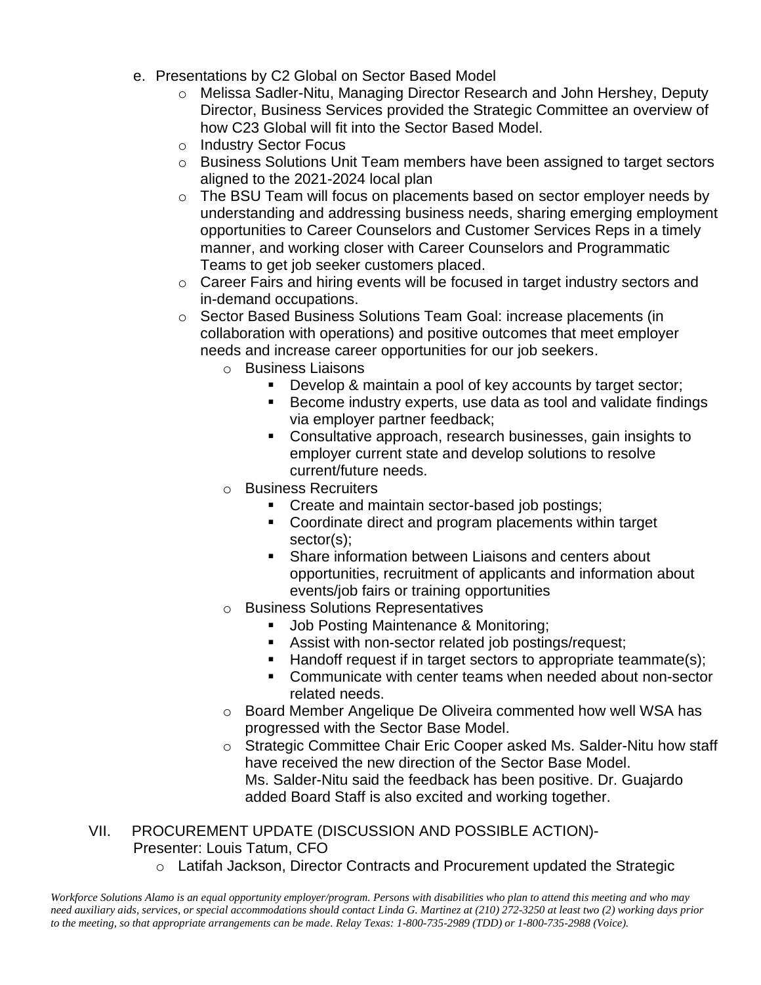- e. Presentations by C2 Global on Sector Based Model
	- o Melissa Sadler-Nitu, Managing Director Research and John Hershey, Deputy Director, Business Services provided the Strategic Committee an overview of how C23 Global will fit into the Sector Based Model.
	- o Industry Sector Focus
	- o Business Solutions Unit Team members have been assigned to target sectors aligned to the 2021-2024 local plan
	- o The BSU Team will focus on placements based on sector employer needs by understanding and addressing business needs, sharing emerging employment opportunities to Career Counselors and Customer Services Reps in a timely manner, and working closer with Career Counselors and Programmatic Teams to get job seeker customers placed.
	- o Career Fairs and hiring events will be focused in target industry sectors and in-demand occupations.
	- o Sector Based Business Solutions Team Goal: increase placements (in collaboration with operations) and positive outcomes that meet employer needs and increase career opportunities for our job seekers.
		- o Business Liaisons
			- Develop & maintain a pool of key accounts by target sector;
			- Become industry experts, use data as tool and validate findings via employer partner feedback;
			- Consultative approach, research businesses, gain insights to employer current state and develop solutions to resolve current/future needs.
		- o Business Recruiters
			- **Create and maintain sector-based job postings;**
			- Coordinate direct and program placements within target sector(s);
			- Share information between Liaisons and centers about opportunities, recruitment of applicants and information about events/job fairs or training opportunities
		- o Business Solutions Representatives
			- Job Posting Maintenance & Monitoring;
			- Assist with non-sector related job postings/request;
			- Handoff request if in target sectors to appropriate teammate(s);
			- Communicate with center teams when needed about non-sector related needs.
		- o Board Member Angelique De Oliveira commented how well WSA has progressed with the Sector Base Model.
		- o Strategic Committee Chair Eric Cooper asked Ms. Salder-Nitu how staff have received the new direction of the Sector Base Model. Ms. Salder-Nitu said the feedback has been positive. Dr. Guajardo added Board Staff is also excited and working together.

# VII. PROCUREMENT UPDATE (DISCUSSION AND POSSIBLE ACTION)- Presenter: Louis Tatum, CFO

o Latifah Jackson, Director Contracts and Procurement updated the Strategic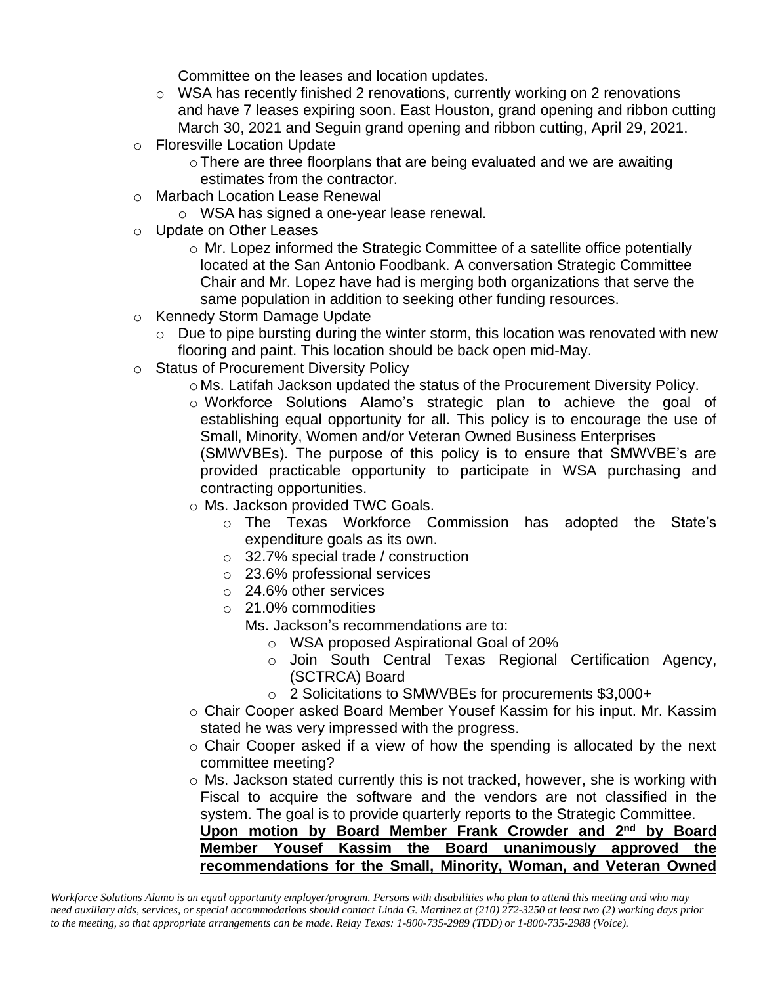Committee on the leases and location updates.

- $\circ$  WSA has recently finished 2 renovations, currently working on 2 renovations and have 7 leases expiring soon. East Houston, grand opening and ribbon cutting March 30, 2021 and Seguin grand opening and ribbon cutting, April 29, 2021.
- o Floresville Location Update
	- oThere are three floorplans that are being evaluated and we are awaiting estimates from the contractor.
- o Marbach Location Lease Renewal
	- o WSA has signed a one-year lease renewal.
- o Update on Other Leases
	- o Mr. Lopez informed the Strategic Committee of a satellite office potentially located at the San Antonio Foodbank. A conversation Strategic Committee Chair and Mr. Lopez have had is merging both organizations that serve the same population in addition to seeking other funding resources.
- o Kennedy Storm Damage Update
	- $\circ$  Due to pipe bursting during the winter storm, this location was renovated with new flooring and paint. This location should be back open mid-May.
- o Status of Procurement Diversity Policy
	- o Ms. Latifah Jackson updated the status of the Procurement Diversity Policy.
	- o Workforce Solutions Alamo's strategic plan to achieve the goal of establishing equal opportunity for all. This policy is to encourage the use of Small, Minority, Women and/or Veteran Owned Business Enterprises (SMWVBEs). The purpose of this policy is to ensure that SMWVBE's are provided practicable opportunity to participate in WSA purchasing and

contracting opportunities.

- o Ms. Jackson provided TWC Goals.
	- o The Texas Workforce Commission has adopted the State's expenditure goals as its own.
	- o 32.7% special trade / construction
	- o 23.6% professional services
	- o 24.6% other services
	- o 21.0% commodities

Ms. Jackson's recommendations are to:

- o WSA proposed Aspirational Goal of 20%
- o Join South Central Texas Regional Certification Agency, (SCTRCA) Board
- o 2 Solicitations to SMWVBEs for procurements \$3,000+
- o Chair Cooper asked Board Member Yousef Kassim for his input. Mr. Kassim stated he was very impressed with the progress.
- o Chair Cooper asked if a view of how the spending is allocated by the next committee meeting?
- o Ms. Jackson stated currently this is not tracked, however, she is working with Fiscal to acquire the software and the vendors are not classified in the system. The goal is to provide quarterly reports to the Strategic Committee.

**Upon motion by Board Member Frank Crowder and 2nd by Board Member Yousef Kassim the Board unanimously approved the recommendations for the Small, Minority, Woman, and Veteran Owned**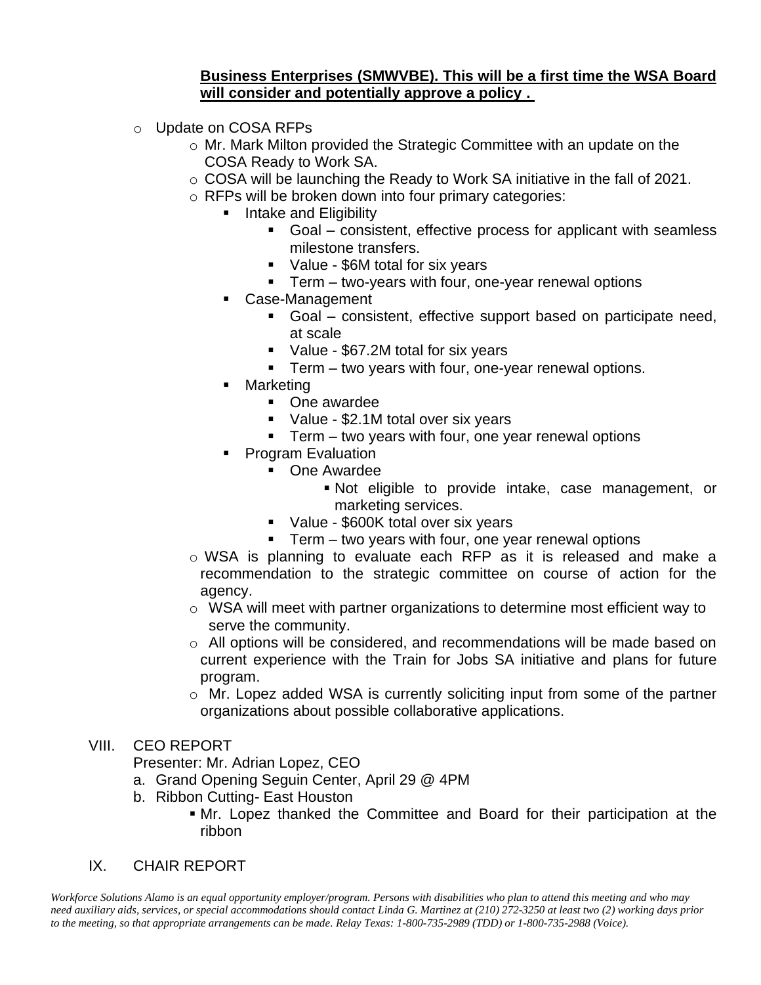## **Business Enterprises (SMWVBE). This will be a first time the WSA Board will consider and potentially approve a policy .**

- o Update on COSA RFPs
	- o Mr. Mark Milton provided the Strategic Committee with an update on the COSA Ready to Work SA.
	- o COSA will be launching the Ready to Work SA initiative in the fall of 2021.
	- o RFPs will be broken down into four primary categories:
		- Intake and Eligibility
			- Goal consistent, effective process for applicant with seamless milestone transfers.
			- Value \$6M total for six years
			- Term two-years with four, one-year renewal options
		- Case-Management
			- Goal consistent, effective support based on participate need, at scale
			- Value \$67.2M total for six years
			- **•** Term two years with four, one-year renewal options.
		- Marketing
			- One awardee
			- Value \$2.1M total over six years
			- Term two years with four, one year renewal options
		- **Program Evaluation** 
			- One Awardee
				- Not eligible to provide intake, case management, or marketing services.
				- Value \$600K total over six years
				- $\blacksquare$  Term two years with four, one year renewal options
	- o WSA is planning to evaluate each RFP as it is released and make a recommendation to the strategic committee on course of action for the agency.
	- o WSA will meet with partner organizations to determine most efficient way to serve the community.
	- o All options will be considered, and recommendations will be made based on current experience with the Train for Jobs SA initiative and plans for future program.
	- $\circ$  Mr. Lopez added WSA is currently soliciting input from some of the partner organizations about possible collaborative applications.

### VIII. CEO REPORT

Presenter: Mr. Adrian Lopez, CEO

- a. Grand Opening Seguin Center, April 29 @ 4PM
- b. Ribbon Cutting- East Houston
	- **If** Mr. Lopez thanked the Committee and Board for their participation at the ribbon

## IX. CHAIR REPORT